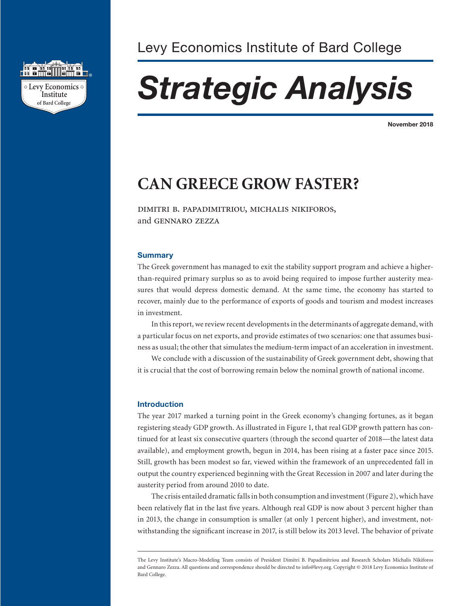

# *Strategic Analysis*

**November 2018**

# **CAN GREECE GROW FASTER?**

dimitri b. papadimitriou, michalis nikiforos, and gennaro zezza

#### **Summary**

The Greek government has managed to exit the stability support program and achieve a higherthan-required primary surplus so as to avoid being required to impose further austerity measures that would depress domestic demand. At the same time, the economy has started to recover, mainly due to the performance of exports of goods and tourism and modest increases in investment.

In this report, we review recent developments in the determinants of aggregate demand, with a particular focus on net exports, and provide estimates of two scenarios: one that assumes business as usual; the other that simulates the medium-term impact of an acceleration in investment.

We conclude with a discussion of the sustainability of Greek government debt, showing that it is crucial that the cost of borrowing remain below the nominal growth of national income.

# **Introduction**

The year 2017 marked a turning point in the Greek economy's changing fortunes, as it began registering steady GDP growth. As illustrated in Figure 1, that real GDP growth pattern has continued for at least six consecutive quarters (through the second quarter of 2018—the latest data available), and employment growth, begun in 2014, has been rising at a faster pace since 2015. Still, growth has been modest so far, viewed within the framework of an unprecedented fall in output the country experienced beginning with the Great Recession in 2007 and later during the austerity period from around 2010 to date.

The crisis entailed dramatic falls in both consumption and investment (Figure 2), which have been relatively flat in the last five years. Although real GDP is now about 3 percent higher than in 2013, the change in consumption is smaller (at only 1 percent higher), and investment, notwithstanding the significant increase in 2017, is still below its 2013 level. The behavior of private

The Levy Institute's Macro-Modeling Team consists of President Dimitri B. Papadimitriou and Research Scholars Michalis Nikiforos and Gennaro Zezza. All questions and correspondence should be directed to info@levy.org. Copyright © 2018 Levy Economics Institute of Bard College.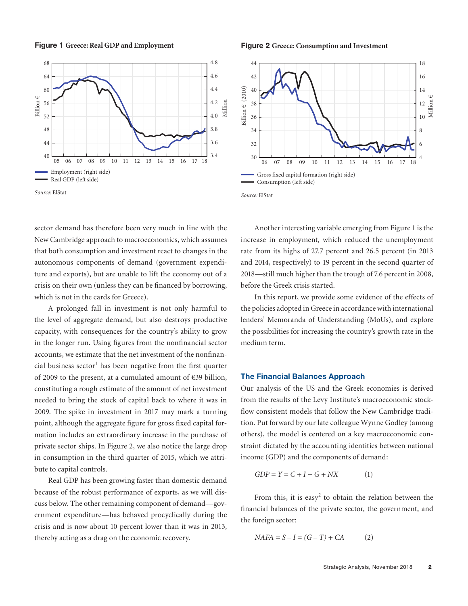sector demand has therefore been very much in line with the New Cambridge approach to macroeconomics, which assumes that both consumption and investment react to changes in the autonomous components of demand (government expenditure and exports), but are unable to lift the economy out of a crisis on their own (unless they can be financed by borrowing, which is not in the cards for Greece).

A prolonged fall in investment is not only harmful to the level of aggregate demand, but also destroys productive capacity, with consequences for the country's ability to grow in the longer run. Using figures from the nonfinancial sector accounts, we estimate that the net investment of the nonfinancial business sector<sup>1</sup> has been negative from the first quarter of 2009 to the present, at a cumulated amount of €39 billion, constituting a rough estimate of the amount of net investment needed to bring the stock of capital back to where it was in 2009. The spike in investment in 2017 may mark a turning point, although the aggregate figure for gross fixed capital formation includes an extraordinary increase in the purchase of private sector ships. In Figure 2, we also notice the large drop in consumption in the third quarter of 2015, which we attribute to capital controls.

Real GDP has been growing faster than domestic demand because of the robust performance of exports, as we will discuss below. The other remaining component of demand—government expenditure—has behaved procyclically during the crisis and is now about 10 percent lower than it was in 2013, thereby acting as a drag on the economic recovery.

Another interesting variable emerging from Figure 1 is the increase in employment, which reduced the unemployment rate from its highs of 27.7 percent and 26.5 percent (in 2013 and 2014, respectively) to 19 percent in the second quarter of 2018—still much higher than the trough of 7.6 percent in 2008, before the Greek crisis started.

In this report, we provide some evidence of the effects of the policies adopted in Greece in accordance with international lenders' Memoranda of Understanding (MoUs), and explore the possibilities for increasing the country's growth rate in the medium term.

# **The Financial Balances Approach**

Our analysis of the US and the Greek economies is derived from the results of the Levy Institute's macroeconomic stockflow consistent models that follow the New Cambridge tradition. Put forward by our late colleague Wynne Godley (among others), the model is centered on a key macroeconomic constraint dictated by the accounting identities between national income (GDP) and the components of demand:

$$
GDP = Y = C + I + G + NX \tag{1}
$$

From this, it is easy<sup>2</sup> to obtain the relation between the financial balances of the private sector, the government, and the foreign sector:

$$
NAFA = S - I = (G - T) + CA \tag{2}
$$

**Figure 2 Greece: Consumption and Investment**



*Source:* ElStat

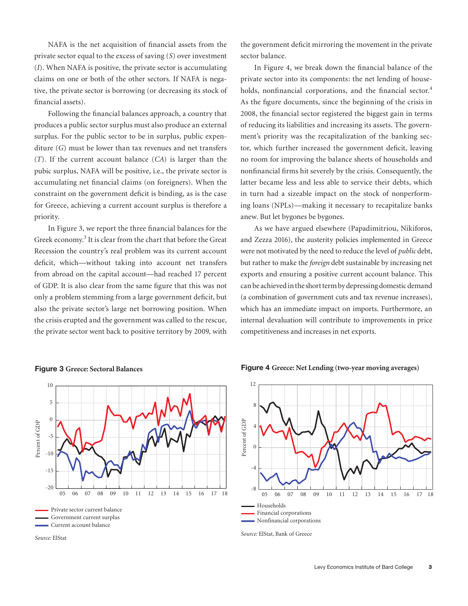NAFA is the net acquisition of financial assets from the private sector equal to the excess of saving (*S*) over investment (*I*). When NAFA is positive, the private sector is accumulating claims on one or both of the other sectors. If NAFA is negative, the private sector is borrowing (or decreasing its stock of financial assets).

Following the financial balances approach, a country that produces a public sector surplus must also produce an external surplus. For the public sector to be in surplus, public expenditure (*G*) must be lower than tax revenues and net transfers (*T*). If the current account balance (*CA*) is larger than the pubic surplus, NAFA will be positive, i.e., the private sector is accumulating net financial claims (on foreigners). When the constraint on the government deficit is binding, as is the case for Greece, achieving a current account surplus is therefore a priority.

In Figure 3, we report the three financial balances for the Greek economy.<sup>3</sup> It is clear from the chart that before the Great Recession the country's real problem was its current account deficit, which—without taking into account net transfers from abroad on the capital account—had reached 17 percent of GDP. It is also clear from the same figure that this was not only a problem stemming from a large government deficit, but also the private sector's large net borrowing position. When the crisis erupted and the government was called to the rescue, the private sector went back to positive territory by 2009, with

the government deficit mirroring the movement in the private sector balance.

In Figure 4, we break down the financial balance of the private sector into its components: the net lending of households, nonfinancial corporations, and the financial sector.<sup>4</sup> As the figure documents, since the beginning of the crisis in 2008, the financial sector registered the biggest gain in terms of reducing its liabilities and increasing its assets. The government's priority was the recapitalization of the banking sector, which further increased the government deficit, leaving no room for improving the balance sheets of households and nonfinancial firms hit severely by the crisis. Consequently, the latter became less and less able to service their debts, which in turn had a sizeable impact on the stock of nonperforming loans (NPLs)—making it necessary to recapitalize banks anew. But let bygones be bygones.

As we have argued elsewhere (Papadimitriou, Nikiforos, and Zezza 2016), the austerity policies implemented in Greece were not motivated by the need to reduce the level of *public* debt, but rather to make the *foreign* debt sustainable by increasing net exports and ensuring a positive current account balance. This can be achieved in the short term by depressing domestic demand (a combination of government cuts and tax revenue increases), which has an immediate impact on imports. Furthermore, an internal devaluation will contribute to improvements in price competitiveness and increases in net exports.



#### **Figure 3 Greece: Sectoral Balances**

**Figure 4 Greece: Net Lending (two-year moving averages)**



*Source:* ElStat, Bank of Greece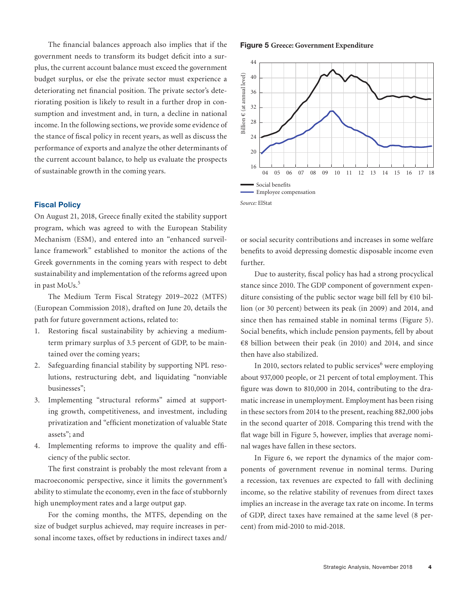The financial balances approach also implies that if the government needs to transform its budget deficit into a surplus, the current account balance must exceed the government budget surplus, or else the private sector must experience a deteriorating net financial position. The private sector's deteriorating position is likely to result in a further drop in consumption and investment and, in turn, a decline in national income. In the following sections, we provide some evidence of the stance of fiscal policy in recent years, as well as discuss the performance of exports and analyze the other determinants of the current account balance, to help us evaluate the prospects of sustainable growth in the coming years.

# **Fiscal Policy**

On August 21, 2018, Greece finally exited the stability support program, which was agreed to with the European Stability Mechanism (ESM), and entered into an "enhanced surveillance framework" established to monitor the actions of the Greek governments in the coming years with respect to debt sustainability and implementation of the reforms agreed upon in past MoUs.<sup>5</sup>

The Medium Term Fiscal Strategy 2019–2022 (MTFS) (European Commission 2018), drafted on June 20, details the path for future government actions, related to:

- 1. Restoring fiscal sustainability by achieving a mediumterm primary surplus of 3.5 percent of GDP, to be maintained over the coming years;
- 2. Safeguarding financial stability by supporting NPL resolutions, restructuring debt, and liquidating "nonviable businesses";
- 3. Implementing "structural reforms" aimed at supporting growth, competitiveness, and investment, including privatization and "efficient monetization of valuable State assets"; and
- 4. Implementing reforms to improve the quality and efficiency of the public sector.

The first constraint is probably the most relevant from a macroeconomic perspective, since it limits the government's ability to stimulate the economy, even in the face of stubbornly high unemployment rates and a large output gap.

For the coming months, the MTFS, depending on the size of budget surplus achieved, may require increases in personal income taxes, offset by reductions in indirect taxes and/

#### **Figure 5 Greece: Government Expenditure**



or social security contributions and increases in some welfare benefits to avoid depressing domestic disposable income even further.

Due to austerity, fiscal policy has had a strong procyclical stance since 2010. The GDP component of government expenditure consisting of the public sector wage bill fell by  $\epsilon$ 10 billion (or 30 percent) between its peak (in 2009) and 2014, and since then has remained stable in nominal terms (Figure 5). Social benefits, which include pension payments, fell by about €8 billion between their peak (in 2010) and 2014, and since then have also stabilized.

In 2010, sectors related to public services<sup>6</sup> were employing about 937,000 people, or 21 percent of total employment. This figure was down to 810,000 in 2014, contributing to the dramatic increase in unemployment. Employment has been rising in these sectors from 2014 to the present, reaching 882,000 jobs in the second quarter of 2018. Comparing this trend with the flat wage bill in Figure 5, however, implies that average nominal wages have fallen in these sectors.

In Figure 6, we report the dynamics of the major components of government revenue in nominal terms. During a recession, tax revenues are expected to fall with declining income, so the relative stability of revenues from direct taxes implies an increase in the average tax rate on income. In terms of GDP, direct taxes have remained at the same level (8 percent) from mid-2010 to mid-2018.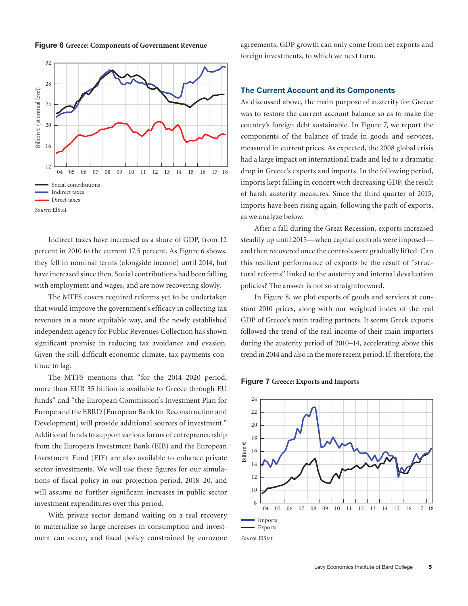



Indirect taxes have increased as a share of GDP, from 12 percent in 2010 to the current 17.5 percent. As Figure 6 shows, they fell in nominal terms (alongside income) until 2014, but have increased since then. Social contributions had been falling with employment and wages, and are now recovering slowly.

The MTFS covers required reforms yet to be undertaken that would improve the government's efficacy in collecting tax revenues in a more equitable way, and the newly established independent agency for Public Revenues Collection has shown significant promise in reducing tax avoidance and evasion. Given the still-difficult economic climate, tax payments continue to lag.

The MTFS mentions that "for the 2014–2020 period, more than EUR 35 billion is available to Greece through EU funds" and "the European Commission's Investment Plan for Europe and the EBRD [European Bank for Reconstruction and Development] will provide additional sources of investment." Additional funds to support various forms of entrepreneurship from the European Investment Bank (EIB) and the European Investment Fund (EIF) are also available to enhance private sector investments. We will use these figures for our simulations of fiscal policy in our projection period, 2018–20, and will assume no further significant increases in public sector investment expenditures over this period.

With private sector demand waiting on a real recovery to materialize so large increases in consumption and investment can occur, and fiscal policy constrained by eurozone agreements, GDP growth can only come from net exports and foreign investments, to which we next turn.

# **The Current Account and its Components**

As discussed above, the main purpose of austerity for Greece was to restore the current account balance so as to make the country's foreign debt sustainable. In Figure 7, we report the components of the balance of trade in goods and services, measured in current prices. As expected, the 2008 global crisis had a large impact on international trade and led to a dramatic drop in Greece's exports and imports. In the following period, imports kept falling in concert with decreasing GDP, the result of harsh austerity measures. Since the third quarter of 2015, imports have been rising again, following the path of exports, as we analyze below.

After a fall during the Great Recession, exports increased steadily up until 2015—when capital controls were imposed and then recovered once the controls were gradually lifted. Can this resilient performance of exports be the result of "structural reforms" linked to the austerity and internal devaluation policies? The answer is not so straightforward.

In Figure 8, we plot exports of goods and services at constant 2010 prices, along with our weighted index of the real GDP of Greece's main trading partners. It seems Greek exports followed the trend of the real income of their main importers during the austerity period of 2010–14, accelerating above this trend in 2014 and also in the more recent period. If, therefore, the

#### **Figure 7 Greece: Exports and Imports**

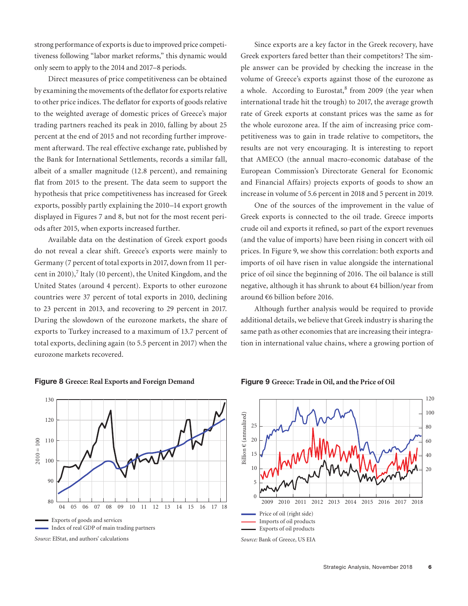strong performance of exports is due to improved price competitiveness following "labor market reforms," this dynamic would only seem to apply to the 2014 and 2017–8 periods.

Direct measures of price competitiveness can be obtained by examining the movements of the deflator for exports relative to other price indices. The deflator for exports of goods relative to the weighted average of domestic prices of Greece's major trading partners reached its peak in 2010, falling by about 25 percent at the end of 2015 and not recording further improvement afterward. The real effective exchange rate, published by the Bank for International Settlements, records a similar fall, albeit of a smaller magnitude (12.8 percent), and remaining flat from 2015 to the present. The data seem to support the hypothesis that price competitiveness has increased for Greek exports, possibly partly explaining the 2010–14 export growth displayed in Figures 7 and 8, but not for the most recent periods after 2015, when exports increased further.

Available data on the destination of Greek export goods do not reveal a clear shift. Greece's exports were mainly to Germany (7 percent of total exports in 2017, down from 11 percent in 2010), $7$  Italy (10 percent), the United Kingdom, and the United States (around 4 percent). Exports to other eurozone countries were 37 percent of total exports in 2010, declining to 23 percent in 2013, and recovering to 29 percent in 2017. During the slowdown of the eurozone markets, the share of exports to Turkey increased to a maximum of 13.7 percent of total exports, declining again (to 5.5 percent in 2017) when the eurozone markets recovered.

Since exports are a key factor in the Greek recovery, have Greek exporters fared better than their competitors? The simple answer can be provided by checking the increase in the volume of Greece's exports against those of the eurozone as a whole. According to Eurostat,<sup>8</sup> from 2009 (the year when international trade hit the trough) to 2017, the average growth rate of Greek exports at constant prices was the same as for the whole eurozone area. If the aim of increasing price competitiveness was to gain in trade relative to competitors, the results are not very encouraging. It is interesting to report that AMECO (the annual macro-economic database of the European Commission's Directorate General for Economic and Financial Affairs) projects exports of goods to show an increase in volume of 5.6 percent in 2018 and 5 percent in 2019.

One of the sources of the improvement in the value of Greek exports is connected to the oil trade. Greece imports crude oil and exports it refined, so part of the export revenues (and the value of imports) have been rising in concert with oil prices. In Figure 9, we show this correlation: both exports and imports of oil have risen in value alongside the international price of oil since the beginning of 2016. The oil balance is still negative, although it has shrunk to about €4 billion/year from around €6 billion before 2016.

Although further analysis would be required to provide additional details, we believe that Greek industry is sharing the same path as other economies that are increasing their integration in international value chains, where a growing portion of



#### **Figure 8 Greece: Real Exports and Foreign Demand**



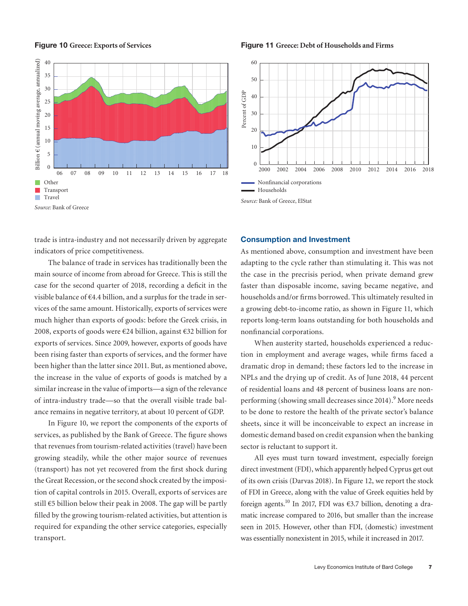#### **Figure 10 Greece: Exports of Services**



**Figure 11 Greece: Debt of Households and Firms**



trade is intra-industry and not necessarily driven by aggregate indicators of price competitiveness.

The balance of trade in services has traditionally been the main source of income from abroad for Greece. This is still the case for the second quarter of 2018, recording a deficit in the visible balance of  $\epsilon$ 4.4 billion, and a surplus for the trade in services of the same amount. Historically, exports of services were much higher than exports of goods: before the Greek crisis, in 2008, exports of goods were €24 billion, against €32 billion for exports of services. Since 2009, however, exports of goods have been rising faster than exports of services, and the former have been higher than the latter since 2011. But, as mentioned above, the increase in the value of exports of goods is matched by a similar increase in the value of imports—a sign of the relevance of intra-industry trade—so that the overall visible trade balance remains in negative territory, at about 10 percent of GDP.

In Figure 10, we report the components of the exports of services, as published by the Bank of Greece. The figure shows that revenues from tourism-related activities (travel) have been growing steadily, while the other major source of revenues (transport) has not yet recovered from the first shock during the Great Recession, or the second shock created by the imposition of capital controls in 2015. Overall, exports of services are still €5 billion below their peak in 2008. The gap will be partly filled by the growing tourism-related activities, but attention is required for expanding the other service categories, especially transport.

# **Consumption and Investment**

As mentioned above, consumption and investment have been adapting to the cycle rather than stimulating it. This was not the case in the precrisis period, when private demand grew faster than disposable income, saving became negative, and households and/or firms borrowed. This ultimately resulted in a growing debt-to-income ratio, as shown in Figure 11, which reports long-term loans outstanding for both households and nonfinancial corporations.

When austerity started, households experienced a reduction in employment and average wages, while firms faced a dramatic drop in demand; these factors led to the increase in NPLs and the drying up of credit. As of June 2018, 44 percent of residential loans and 48 percent of business loans are nonperforming (showing small decreases since 2014).<sup>9</sup> More needs to be done to restore the health of the private sector's balance sheets, since it will be inconceivable to expect an increase in domestic demand based on credit expansion when the banking sector is reluctant to support it.

All eyes must turn toward investment, especially foreign direct investment (FDI), which apparently helped Cyprus get out of its own crisis (Darvas 2018). In Figure 12, we report the stock of FDI in Greece, along with the value of Greek equities held by foreign agents.<sup>10</sup> In 2017, FDI was  $\epsilon$ 3.7 billion, denoting a dramatic increase compared to 2016, but smaller than the increase seen in 2015. However, other than FDI, (domestic) investment was essentially nonexistent in 2015, while it increased in 2017.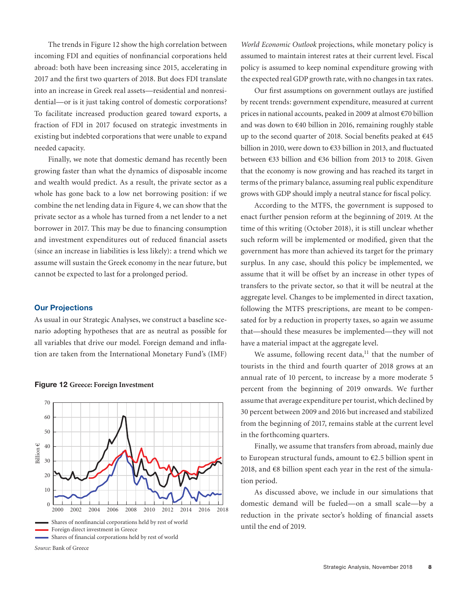The trends in Figure 12 show the high correlation between incoming FDI and equities of nonfinancial corporations held abroad: both have been increasing since 2015, accelerating in 2017 and the first two quarters of 2018. But does FDI translate into an increase in Greek real assets—residential and nonresidential—or is it just taking control of domestic corporations? To facilitate increased production geared toward exports, a fraction of FDI in 2017 focused on strategic investments in existing but indebted corporations that were unable to expand needed capacity.

Finally, we note that domestic demand has recently been growing faster than what the dynamics of disposable income and wealth would predict. As a result, the private sector as a whole has gone back to a low net borrowing position: if we combine the net lending data in Figure 4, we can show that the private sector as a whole has turned from a net lender to a net borrower in 2017. This may be due to financing consumption and investment expenditures out of reduced financial assets (since an increase in liabilities is less likely): a trend which we assume will sustain the Greek economy in the near future, but cannot be expected to last for a prolonged period.

# **Our Projections**

As usual in our Strategic Analyses, we construct a baseline scenario adopting hypotheses that are as neutral as possible for all variables that drive our model. Foreign demand and inflation are taken from the International Monetary Fund's (IMF)





*World Economic Outlook* projections, while monetary policy is assumed to maintain interest rates at their current level. Fiscal policy is assumed to keep nominal expenditure growing with the expected real GDP growth rate, with no changes in tax rates.

Our first assumptions on government outlays are justified by recent trends: government expenditure, measured at current prices in national accounts, peaked in 2009 at almost €70 billion and was down to €40 billion in 2016, remaining roughly stable up to the second quarter of 2018. Social benefits peaked at €45 billion in 2010, were down to €33 billion in 2013, and fluctuated between €33 billion and €36 billion from 2013 to 2018. Given that the economy is now growing and has reached its target in terms of the primary balance, assuming real public expenditure grows with GDP should imply a neutral stance for fiscal policy.

According to the MTFS, the government is supposed to enact further pension reform at the beginning of 2019. At the time of this writing (October 2018), it is still unclear whether such reform will be implemented or modified, given that the government has more than achieved its target for the primary surplus. In any case, should this policy be implemented, we assume that it will be offset by an increase in other types of transfers to the private sector, so that it will be neutral at the aggregate level. Changes to be implemented in direct taxation, following the MTFS prescriptions, are meant to be compensated for by a reduction in property taxes, so again we assume that—should these measures be implemented—they will not have a material impact at the aggregate level.

We assume, following recent data, $11$  that the number of tourists in the third and fourth quarter of 2018 grows at an annual rate of 10 percent, to increase by a more moderate 5 percent from the beginning of 2019 onwards. We further assume that average expenditure per tourist, which declined by 30 percent between 2009 and 2016 but increased and stabilized from the beginning of 2017, remains stable at the current level in the forthcoming quarters.

Finally, we assume that transfers from abroad, mainly due to European structural funds, amount to €2.5 billion spent in 2018, and €8 billion spent each year in the rest of the simulation period.

As discussed above, we include in our simulations that domestic demand will be fueled—on a small scale—by a reduction in the private sector's holding of financial assets until the end of 2019.

*Source:* Bank of Greece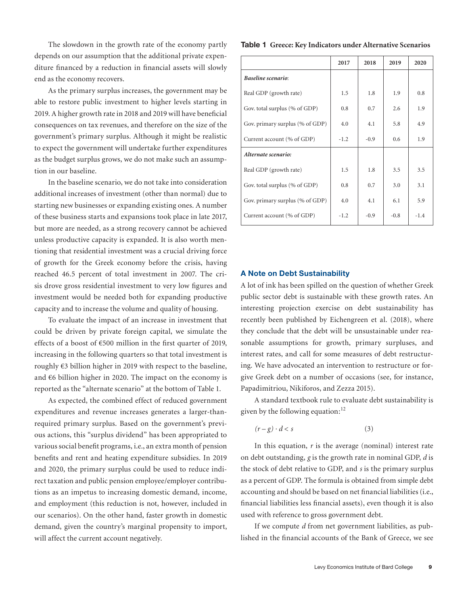The slowdown in the growth rate of the economy partly depends on our assumption that the additional private expenditure financed by a reduction in financial assets will slowly end as the economy recovers.

As the primary surplus increases, the government may be able to restore public investment to higher levels starting in 2019. A higher growth rate in 2018 and 2019 will have beneficial consequences on tax revenues, and therefore on the size of the government's primary surplus. Although it might be realistic to expect the government will undertake further expenditures as the budget surplus grows, we do not make such an assumption in our baseline.

In the baseline scenario, we do not take into consideration additional increases of investment (other than normal) due to starting new businesses or expanding existing ones. A number of these business starts and expansions took place in late 2017, but more are needed, as a strong recovery cannot be achieved unless productive capacity is expanded. It is also worth mentioning that residential investment was a crucial driving force of growth for the Greek economy before the crisis, having reached 46.5 percent of total investment in 2007. The crisis drove gross residential investment to very low figures and investment would be needed both for expanding productive capacity and to increase the volume and quality of housing.

To evaluate the impact of an increase in investment that could be driven by private foreign capital, we simulate the effects of a boost of €500 million in the first quarter of 2019, increasing in the following quarters so that total investment is roughly €3 billion higher in 2019 with respect to the baseline, and  $66$  billion higher in 2020. The impact on the economy is reported as the "alternate scenario" at the bottom of Table 1.

As expected, the combined effect of reduced government expenditures and revenue increases generates a larger-thanrequired primary surplus. Based on the government's previous actions, this "surplus dividend" has been appropriated to various social benefit programs, i.e., an extra month of pension benefits and rent and heating expenditure subsidies. In 2019 and 2020, the primary surplus could be used to reduce indirect taxation and public pension employee/employer contributions as an impetus to increasing domestic demand, income, and employment (this reduction is not, however, included in our scenarios). On the other hand, faster growth in domestic demand, given the country's marginal propensity to import, will affect the current account negatively.

#### **Table 1 Greece: Key Indicators under Alternative Scenarios**

|                                 | 2017   | 2018   | 2019   | 2020   |
|---------------------------------|--------|--------|--------|--------|
| Baseline scenario:              |        |        |        |        |
| Real GDP (growth rate)          | 1.5    | 1.8    | 1.9    | 0.8    |
| Gov. total surplus (% of GDP)   | 0.8    | 0.7    | 2.6    | 1.9    |
| Gov. primary surplus (% of GDP) | 4.0    | 4.1    | 5.8    | 4.9    |
| Current account (% of GDP)      | $-1.2$ | $-0.9$ | 0.6    | 1.9    |
| Alternate scenario:             |        |        |        |        |
| Real GDP (growth rate)          | 1.5    | 1.8    | 3.5    | 3.5    |
| Gov. total surplus (% of GDP)   | 0.8    | 0.7    | 3.0    | 3.1    |
| Gov. primary surplus (% of GDP) | 4.0    | 4.1    | 6.1    | 5.9    |
| Current account (% of GDP)      | $-1.2$ | $-0.9$ | $-0.8$ | $-1.4$ |

# **A Note on Debt Sustainability**

A lot of ink has been spilled on the question of whether Greek public sector debt is sustainable with these growth rates. An interesting projection exercise on debt sustainability has recently been published by Eichengreen et al. (2018), where they conclude that the debt will be unsustainable under reasonable assumptions for growth, primary surpluses, and interest rates, and call for some measures of debt restructuring. We have advocated an intervention to restructure or forgive Greek debt on a number of occasions (see, for instance, Papadimitriou, Nikiforos, and Zezza 2015).

A standard textbook rule to evaluate debt sustainability is given by the following equation:<sup>12</sup>

$$
(r-g)\cdot d < s\tag{3}
$$

In this equation, *r* is the average (nominal) interest rate on debt outstanding, *g* is the growth rate in nominal GDP, *d* is the stock of debt relative to GDP, and *s* is the primary surplus as a percent of GDP. The formula is obtained from simple debt accounting and should be based on net financial liabilities (i.e., financial liabilities less financial assets), even though it is also used with reference to gross government debt.

If we compute *d* from net government liabilities, as published in the financial accounts of the Bank of Greece, we see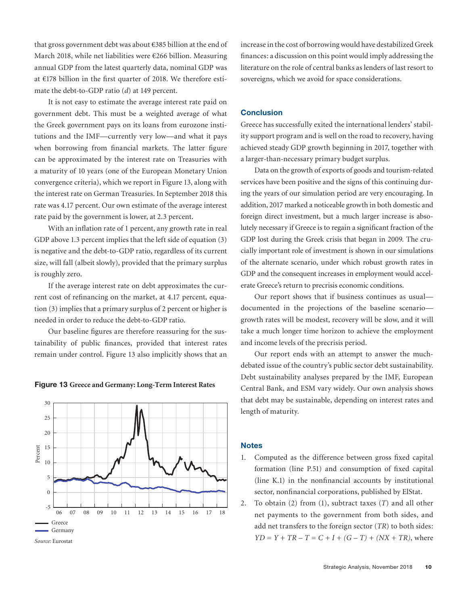that gross government debt was about €385 billion at the end of March 2018, while net liabilities were €266 billion. Measuring annual GDP from the latest quarterly data, nominal GDP was at €178 billion in the first quarter of 2018. We therefore estimate the debt-to-GDP ratio (*d*) at 149 percent.

It is not easy to estimate the average interest rate paid on government debt. This must be a weighted average of what the Greek government pays on its loans from eurozone institutions and the IMF—currently very low—and what it pays when borrowing from financial markets. The latter figure can be approximated by the interest rate on Treasuries with a maturity of 10 years (one of the European Monetary Union convergence criteria), which we report in Figure 13, along with the interest rate on German Treasuries. In September 2018 this rate was 4.17 percent. Our own estimate of the average interest rate paid by the government is lower, at 2.3 percent.

With an inflation rate of 1 percent, any growth rate in real GDP above 1.3 percent implies that the left side of equation (3) is negative and the debt-to-GDP ratio, regardless of its current size, will fall (albeit slowly), provided that the primary surplus is roughly zero.

If the average interest rate on debt approximates the current cost of refinancing on the market, at 4.17 percent, equation (3) implies that a primary surplus of 2 percent or higher is needed in order to reduce the debt-to-GDP ratio.

Our baseline figures are therefore reassuring for the sustainability of public finances, provided that interest rates remain under control. Figure 13 also implicitly shows that an





increase in the cost of borrowing would have destabilized Greek finances: a discussion on this point would imply addressing the literature on the role of central banks as lenders of last resort to sovereigns, which we avoid for space considerations.

# **Conclusion**

Greece has successfully exited the international lenders' stability support program and is well on the road to recovery, having achieved steady GDP growth beginning in 2017, together with a larger-than-necessary primary budget surplus.

Data on the growth of exports of goods and tourism-related services have been positive and the signs of this continuing during the years of our simulation period are very encouraging. In addition, 2017 marked a noticeable growth in both domestic and foreign direct investment, but a much larger increase is absolutely necessary if Greece is to regain a significant fraction of the GDP lost during the Greek crisis that began in 2009. The crucially important role of investment is shown in our simulations of the alternate scenario, under which robust growth rates in GDP and the consequent increases in employment would accelerate Greece's return to precrisis economic conditions.

Our report shows that if business continues as usual documented in the projections of the baseline scenario growth rates will be modest, recovery will be slow, and it will take a much longer time horizon to achieve the employment and income levels of the precrisis period.

Our report ends with an attempt to answer the muchdebated issue of the country's public sector debt sustainability. Debt sustainability analyses prepared by the IMF, European Central Bank, and ESM vary widely. Our own analysis shows that debt may be sustainable, depending on interest rates and length of maturity.

# **Notes**

- 1. Computed as the difference between gross fixed capital formation (line P.51) and consumption of fixed capital (line K.1) in the nonfinancial accounts by institutional sector, nonfinancial corporations, published by ElStat.
- 2. To obtain (2) from (1), subtract taxes (*T*) and all other net payments to the government from both sides, and add net transfers to the foreign sector (*TR*) to both sides: